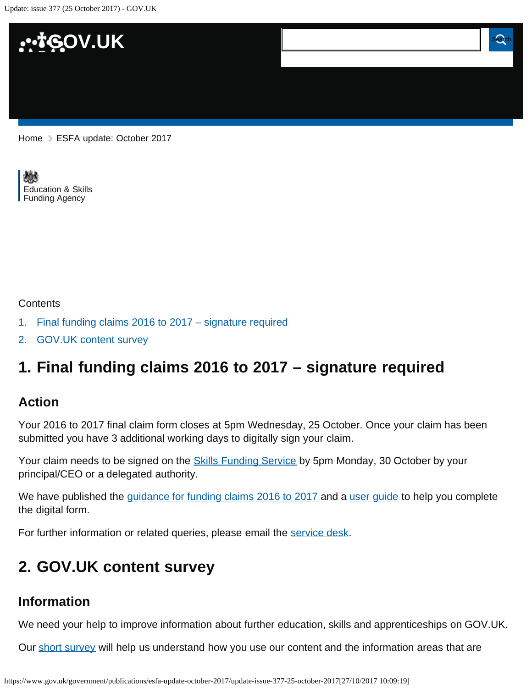Update: issue 377 (25 October 2017) - GOV.UK



[Home](https://www.gov.uk/) > [ESFA update: October 2017](https://www.gov.uk/government/publications/esfa-update-october-2017)

[Education & Skills](https://www.gov.uk/government/organisations/education-and-skills-funding-agency)  [Funding Agency](https://www.gov.uk/government/organisations/education-and-skills-funding-agency)

#### **Contents**

- [1.](#page-0-0) [Final funding claims 2016 to 2017 signature required](#page-0-0)
- [2.](#page-0-1) [GOV.UK content survey](#page-0-1)

# <span id="page-0-0"></span>**1. Final funding claims 2016 to 2017 – signature required**

#### **Action**

Your 2016 to 2017 final claim form closes at 5pm Wednesday, 25 October. Once your claim has been submitted you have 3 additional working days to digitally sign your claim.

Your claim needs to be signed on the **Skills Funding Service** by 5pm Monday, 30 October by your principal/CEO or a delegated authority.

We have published the [guidance for funding claims 2016 to 2017](https://www.gov.uk/government/publications/sfa-funding-claims/funding-claims-2016-to-2017) and a [user guide](https://www.gov.uk/government/publications/sfa-funding-claims) to help you complete the digital form.

For further information or related queries, please email the [service desk.](mailto:servicedesk@sfa.bis.gov.uk)

## <span id="page-0-1"></span>**2. GOV.UK content survey**

#### **Information**

We need your help to improve information about further education, skills and apprenticeships on GOV.UK.

Our [short survey](https://www.smartsurvey.co.uk/s/HS0A2/) will help us understand how you use our content and the information areas that are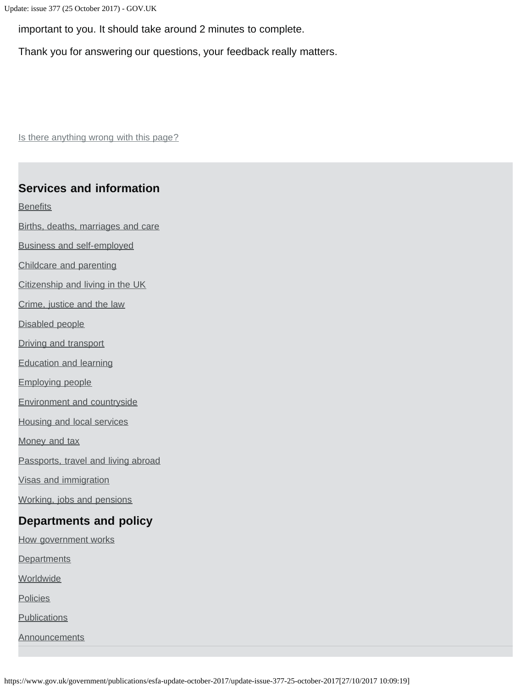Update: issue 377 (25 October 2017) - GOV.UK

important to you. It should take around 2 minutes to complete.

Thank you for answering our questions, your feedback really matters.

Is there anything wrong with this page?

### **Services and information**

**[Benefits](https://www.gov.uk/browse/benefits)** 

[Births, deaths, marriages and care](https://www.gov.uk/browse/births-deaths-marriages)

[Business and self-employed](https://www.gov.uk/browse/business)

[Childcare and parenting](https://www.gov.uk/browse/childcare-parenting)

[Citizenship and living in the UK](https://www.gov.uk/browse/citizenship)

[Crime, justice and the law](https://www.gov.uk/browse/justice)

[Disabled people](https://www.gov.uk/browse/disabilities)

[Driving and transport](https://www.gov.uk/browse/driving)

[Education and learning](https://www.gov.uk/browse/education)

[Employing people](https://www.gov.uk/browse/employing-people)

[Environment and countryside](https://www.gov.uk/browse/environment-countryside)

[Housing and local services](https://www.gov.uk/browse/housing-local-services)

[Money and tax](https://www.gov.uk/browse/tax)

[Passports, travel and living abroad](https://www.gov.uk/browse/abroad)

[Visas and immigration](https://www.gov.uk/browse/visas-immigration)

[Working, jobs and pensions](https://www.gov.uk/browse/working)

#### **Departments and policy**

[How government works](https://www.gov.uk/government/how-government-works)

**[Departments](https://www.gov.uk/government/organisations)** 

**[Worldwide](https://www.gov.uk/government/world)** 

**[Policies](https://www.gov.uk/government/policies)** 

**[Publications](https://www.gov.uk/government/publications)** 

**[Announcements](https://www.gov.uk/government/announcements)** 

https://www.gov.uk/government/publications/esfa-update-october-2017/update-issue-377-25-october-2017[27/10/2017 10:09:19]